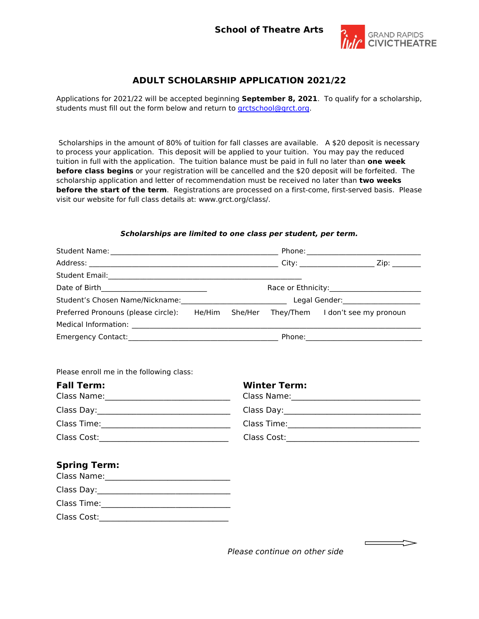

## **ADULT SCHOLARSHIP APPLICATION 2021/22**

Applications for 2021/22 will be accepted beginning **September 8, 2021**. To qualify for a scholarship, students must fill out the form below and return to [grctschool@grct.org.](mailto:grctschool@grct.org)

Scholarships in the amount of 80% of tuition for fall classes are available. A \$20 deposit is necessary to process your application. This deposit will be applied to your tuition. You may pay the reduced tuition in full with the application. The tuition balance must be paid in full no later than **one week before class begins** or your registration will be cancelled and the \$20 deposit will be forfeited. The scholarship application and letter of recommendation must be received no later than **two weeks before the start of the term**. Registrations are processed on a first-come, first-served basis. Please visit our website for full class details at: www.grct.org/class/.

## *Scholarships are limited to one class per student, per term.*

| Preferred Pronouns (please circle): He/Him She/Her They/Them I don't see my pronoun |                     |  |
|-------------------------------------------------------------------------------------|---------------------|--|
|                                                                                     |                     |  |
|                                                                                     |                     |  |
| Please enroll me in the following class:<br><b>Fall Term:</b>                       | <b>Winter Term:</b> |  |
|                                                                                     |                     |  |
|                                                                                     |                     |  |
|                                                                                     |                     |  |
| <b>Spring Term:</b>                                                                 |                     |  |
|                                                                                     |                     |  |

*Please continue on other side*

 $\overline{\phantom{a}}$